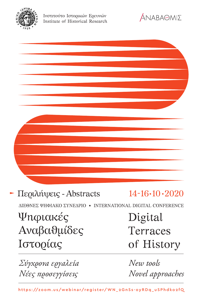



| Περιλήψεις - Abstracts                                      | $14 - 16 - 10 - 2020$ |
|-------------------------------------------------------------|-----------------------|
| ΔΙΕΘΝΕΣ ΨΗΦΙΑΚΟ ΣΥΝΕΔΡΙΟ • INTERNATIONAL DIGITAL CONFERENCE |                       |
| Ψηφιακές                                                    | Digital               |
| Αναβαθμίδες                                                 | Terraces              |

Ιστορίας *Σύγχρονα εργαλεία* 

*Νέες προσεγγίσεις*

*New tools Novel approaches*

of History

https://zoom.us/webinar/register/WN\_2GnSs-oyRDq\_uSPhdko2fQ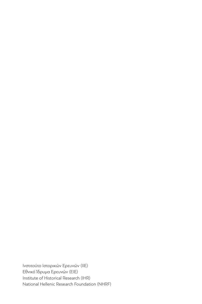Ινστιτούτο Ιστορικών Ερευνών (IIE) Εθνικό Ίδρυμα Ερευνών (EIE) Institute of Historical Research (IHR) National Hellenic Research Foundation (NHRF)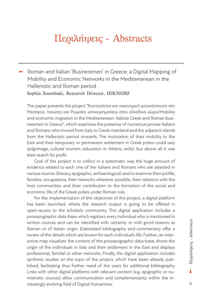# Περιλήψεις - Abstracts

‣ Roman and Italian 'Businessmen' in Greece: a Digital Mapping of Mobility and Economic Networks in the Mediterranean in the Hellenistic and Roman period Sophia Zoumbaki, Research Director, IHR/NHRF

The paper presents the project "Κινητικότητα και οικονομική μετανάστευση στη Μεσόγειο. Ιταιώτες και Ρωμαίοι «επιχειρηματίες» στον ελλαδικό χώρο/Mobility and economic migration in the Mediterranean. Italiote Greek and Roman businessmen in Greece", which examines the presence of numerous private Italians and Romans who moved from Italy to Greek mainland and the adjacent islands from the Hellenistic period onwards. The motivation of their mobility to the East and their temporary or permanent settlement in Greek poleis could vary (pilgrimage, cultural tourism, education in Athens, exile), but above all it was their search for profit.

Goal of the project is to collect in a systematic way the huge amount of evidence related to each one of the Italians and Romans who are attested in various sources (literary, epigraphic, archaeological) and to examine their profile, families, occupations, their networks wherever possible, their relations with the host communities and their contribution to the formation of the social and economic life of the Greek poleis under Roman rule.

For the implementation of the objectives of this project, a digital platform has been launched, where the research output is going to be offered in open-access to the scholarly community. This digital application includes a prosopographic data-base which registers every individual who is mentioned in written sources and can be identified with certainty or with good reasons as Roman or of Italian origin. Elaborated bibliography and commentary offer a review of the details which are known for each individual's life. Further, an interactive map visualizes the content of the prosopographic data-base, shows the origin of the individuals in Italy and their settlement in the East and displays professional, familial or other networks. Finally, the digital application includes synthetic studies on the topic of the project, which have been already published, facilitating thus further need of the users for additional bibliography. Links with other digital platforms with relevant content (e.g. epigraphic or numismatic sources) allow communication and complementarity within the increasingly evolving field of Digital Humanities.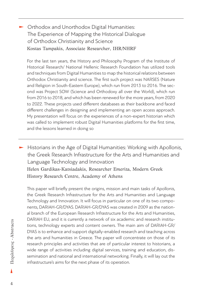## ► Orthodox and Unorthodox Digital Humanities: The Experience of Mapping the Historical Dialogue of Orthodox Christianity and Science Kostas Tampakis, Associate Researcher, IHR/NHRF

For the last ten years, the History and Philosophy Program of the Institute of Historical Research/ National Hellenic Research Foundation has utilized tools and techniques from Digital Humanities to map the historical relations between Orthodox Christianity and science. The first such project was NARSES (Nature and Religion in South-Eastern Europe), which run from 2013 to 2016. The second was Project SOW (Science and Orthodoxy all over the World), which run from 2016 to 2018, and which has been renewed for the more years, from 2020 to 2022. These projects used different databases as their backbone and faced different challenges in designing and implementing an open access approach. My presentation will focus on the experiences of a non-expert historian which was called to implement robust Digital Humanities platforms for the first time, and the lessons learned in doing so

 $\blacktriangleright$  Historians in the Age of Digital Humanities: Working with Apollonis, the Greek Research Infrastructure for the Arts and Humanities and Language Technology and Innovation Helen Gardikas-Katsiadakis, Researcher Emerita, Modern Greek History Research Centre, Academy of Athens

This paper will briefly present the origins, mission and main tasks of Apollonis, the Greek Research Infrastructure for the Arts and Humanities and Language Technology and Innovation. It will focus in particular on one of its two components, DARIAH-GR/DYAS. DARIAH-GR/DYAS was created in 2009 as the national branch of the European Research Infrastructure for the Arts and Humanities, DARIAH EU, and it is currently a network of six academic and research institutions, technology experts and content owners. The main aim of DARIAH-GR/ DYAS is to enhance and support digitally-enabled research and teaching across the arts and humanities in Greece. The paper will concentrate on those of its research principles and activities that are of particular interest to historians, a wide range of activities including digital services, training and education, dissemination and national and international networking. Finally, it will lay out the infrastructure's aims for the next phase of its operation.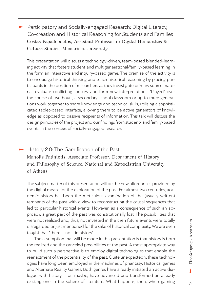## ‣ Participatory and Socially-engaged Research: Digital Literacy, Co-creation and Historical Reasoning for Students and Families Costas Papadopoulos, Assistant Professor in Digital Humanities & Culture Studies, Maastricht University

This presentation will discuss a technology-driven, team-based blended-learning activity that fosters student and multigenerational/family-based learning in the form an interactive and inquiry-based game. The premise of the activity is to encourage historical thinking and teach historical reasoning by placing participants in the position of researchers as they investigate primary source material, evaluate conflicting sources, and form new interpretations. "Played" over the course of two hours, a secondary school classroom or up to three generations work together to share knowledge and technical skills, utilising a sophisticated tablet-based interface, allowing them to be active generators of knowledge as opposed to passive recipients of information. This talk will discuss the design principles of the project and our findings from student- and family-based events in the context of socially-engaged research.

## • History 2.0: The Gamification of the Past Manolis Patiniotis, Associate Professor, Department of History and Philosophy of Science, National and Kapodistrian University of Athens

The subject matter of this presentation will be the new affordances provided by the digital means for the exploration of the past. For almost two centuries, academic history has been the meticulous examination of the (usually written) remnants of the past with a view to reconstructing the causal sequences that led to particular historical events. However, as a consequence of such an approach, a great part of the past was constitutionally lost. The possibilities that were not realized and, thus, not invested in the then future events were totally disregarded or just mentioned for the sake of historical complexity. We are even taught that "there is no if in history".

The assumption that will be made in this presentation is that history is both the realized and the canceled possibilities of the past. A most appropriate way to build such a perspective is to employ digital technologies that enable the reenactment of the potentiality of the past. Quite unexpectedly, these technologies have long been employed in the machines of phantasy: Historical games and Alternate Reality Games. Both genres have already initiated an active dialogue with history – or, maybe, have advanced and transformed an already existing one in the sphere of literature. What happens, then, when gaming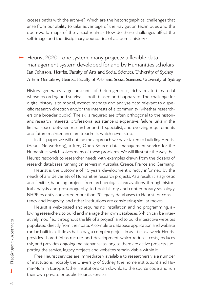crosses paths with the archive? Which are the historiographical challenges that arise from our ability to take advantage of the navigation techniques and the open-world maps of the virtual realms? How do these challenges affect the self-image and the disciplinary boundaries of academic history?

‣ Heurist 2020 - one system, many projects: a flexible data management system developed for and by Humanities scholars Ian Johnson, Heurist, Faculty of Arts and Social Sciences, University of Sydney Artem Osmakov, Heurist, Faculty of Arts and Social Sciences, University of Sydney

History generates large amounts of heterogeneous, richly related material whose recording and survival is both biased and haphazard. The challenge for digital history is to model, extract, manage and analyse data relevant to a specific research direction and/or the interests of a community (whether researchers or a broader public). The skills required are often orthogonal to the historian's research interests, professional assistance is expensive, failure lurks in the liminal space between researcher and IT specialist, and evolving requirements and future maintenance are treadmills which never stop.

In this paper we will outline the approach we have taken to building Heurist (HeuristNetwork.org), a free, Open Source data management service for the Humanities which solves many of these problems. We will illustrate the way that Heurist responds to researcher needs with examples drawn from the dozens of research databases running on servers in Australia, Greece, France and Germany.

Heurist is the outcome of 15 years development directly informed by the needs of a wide variety of Humanities research projects. As a result, it is agnostic and flexible, handling projects from archaeological excavations, through historical analysis and prosopography, to book history and contemporary sociology. NHRF recently converted more than 20 legacy databases to Heurist for consistency and longevity, and other institutions are considering similar moves.

Heurist is web-based and requires no installation and no programming, allowing researchers to build and manage their own databases (which can be interatively modified throughout the life of a project) and to build interactive websites populated directly from their data. A complete database application and website can be built in as little as half a day, a complex project in as little as a week. Heurist provides shared infrastructure and development which reduces costs, reduces risk, and provides ongoing maintenance; as long as there are active projects supporting the service, legacy projects and websites remain viable within it.

Free Heurist services are immediately available to researchers via a number of institutions, notably the University of Sydney (the home institution) and Huma-Num in Europe. Other institutions can download the source code and run their own private or public Heurist service.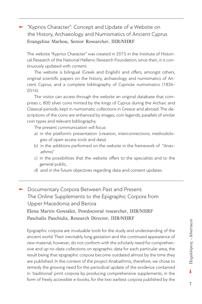## ‣ "Kyprios Character": Concept and Update of a Website on the History, Archaeology and Numismatics of Ancient Cyprus Evangeline Markou, Senior Researcher, IHR/NHRF

The website "Kyprios Character" was created in 2015 in the Institute of Historical Research of the National Hellenic Research Foundation; since then, it is continuously updated with content.

The website is bilingual (Greek and English) and offers, amongst others, original scientific papers on the history, archaeology and numismatics of Ancient Cyprus, and a complete bibliography of Cypriote numismatics (1836- 2014).

The visitor can access through the website an original database that comprises c. 800 silver coins minted by the kings of Cyprus during the Archaic and Classical periods, kept in numismatic collections in Greece and abroad. The descriptions of the coins are enhanced by images, coin legends, parallels of similar coin types and relevant bibliography.

The present communication will focus:

- a) in the platform's presentation (creation, interconnections, methodologies of open access tools and data)
- b) in the additions performed on the website in the framework of "Anavathmis"
- c) in the possibilities that the website offers to the specialists and to the general public,
- d) and in the future objectives regarding data and content updates.

► Documentary Corpora Between Past and Present: The Online Supplements to the Epigraphic Corpora from Upper Macedonia and Beroia Εlena Martín González, Postdoctoral researcher, IHR/NHRF Paschalis Paschidis, Research Director, IHR/NHRF

Epigraphic corpora are invaluable tools for the study and understanding of the ancient world. Their inevitably long gestation and the continued appearance of new material, however, do not conform with the scholarly need for comprehensive and up-to-date collections on epigraphic data for each particular area, the result being that epigraphic corpora become outdated almost by the time they are published. In the context of the project Anabathmis, therefore, we chose to remedy the growing need for the periodical update of the evidence contained in 'traditional' print corpora by producing comprehensive supplements, in the form of freely accessible e-books, for the two earliest corpora published by the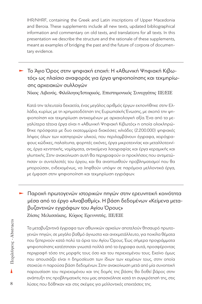IHR/NHRF, containing the Greek and Latin inscriptions of Upper Macedonia and Beroia. These supplements include all new texts, updated bibliographical information and commentary on old texts, and translations for all texts. In this presentation we describe the structure and the rationale of these supplements, meant as examples of bridging the past and the future of corpora of documentary evidence.

‣ Το Άγιο Όρος στην ψηφιακή εποχή: Η «Αθωνική Ψηφιακή Κιβωτός» ως πλαίσιο αναφοράς για έργα ψηφιοποίησης και τεκμηρίωσης αρχειακών συλλογών

Νίκος Λιβανός, Φιλόλογος/Ιστορικός, Επιστημονικός Συνεργάτης ΙΙΕ/ΕΙΕ

Κατά την τελευταία δεκαετία, ένας μεγάλος αριθμός έργων εκπονήθηκε στην Ελλάδα, κυρίως με τη χρηματοδότηση της Ευρωπαϊκής Ένωσης, με σκοπό την ψηφιοποίηση και τεκμηρίωση αντικειμένων με αρχαιολογική αξία. Ένα από τα μεγαλύτερα τέτοια έργα είναι η «Αθωνική Ψηφιακή Κιβωτός» η οποία ολοκληρώθηκε πρόσφατα με δυο εκατομμύρια διακόσιες χιλιάδες (2.200.000) ψηφιακές λήψεις όλων των κατηγοριών υλικού, που περιλαμβάνουν έγγραφα, χειρόγραφους κώδικες, παλαίτυπα, φορητές εικόνες, έργα μικροτεχνίας και μεταλλοτεχνίας, έργα κεντητικής, νομίσματα, αντικείμενα λαογραφίας και έργα κεραμικής και γλυπτικής. Στην ανακοίνωση αυτή θα περιγραφούν οι προκλήσεις που αντιμετώπισαν οι συντελεστές του έργου, και θα αναπτυχθούν προβληματισμοί που θα μπορούσαν, ενδεχομένως, να ληφθούν υπόψιν σε παρόμοια μελλοντικά έργα, με έμφαση στην ψηφιοποίηση και τεκμηρίωση εγγράφων.

‣ Παροχή πρωτογενών ιστορικών πηγών στην ερευνητική κοινότητα μέσα από το έργο «Αναβαθμίς». Η βάση δεδομένων «Κείμενα μεταβυζαντινών εγγράφων του Αγίου Όρους» Ζήσης Μελισσάκης, Κύριος Ερευνητής, ΙΙΕ/ΕΙΕ

Τα μεταβυζαντινά έγγραφα των αθωνικών αρχείων αποτελούν θησαυρό πρωτογενών πηγών, σε μεγάλο βαθμό άγνωστο και ανεκμετάλλευτο, για ποικίλα θέματα που ξεπερνούν κατά πολύ τα όρια του Αγίου Όρους. Έως σήμερα προγράμματα ψηφιοποίησης κατέστησαν γνωστά πολλά από τα έγγραφα αυτά, προσφέροντας περιγραφή τόσο της μορφής τους όσο και του περιεχομένου τους. Εκείνο όμως που απουσιάζει είναι η δημοσίευση των ίδιων των κειμένων τους, στην οποία στοχεύει η παρούσα βάση δεδομένων. Στην ανακοίνωση μετά από μία συνοπτική παρουσίαση του περιεχομένου και της δομής της βάσης θα δοθεί βάρος στην ανάπτυξη της προβληματικής που μας απασχόλησε κατά τη συγκρότησή της, στις λύσεις που δόθηκαν και στις σκέψεις για μελλοντικές επεκτάσεις της.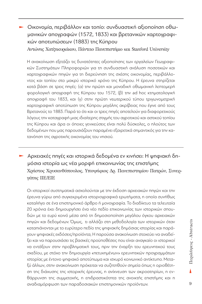## ‣ Οικονομία, περιβάλλον και τοπίο: συνδυαστική αξιοποίηση οθωμανικών απογραφών (1572, 1833) και βρετανικών χαρτογραφικών αποτυπώσεων (1883) της Κύπρου

Αντώνης Χατζηκυριάκου, Πάντειο Πανεπιστήμιο και Stanford University

Η ανακοίνωση εξετάζει τις δυνατότητες αξιοποίησης των εργαλείων Γεωγραφικών Συστημάτων Πληροφοριών για τη συνδυαστική ανάλυση ποσοτικών και χαρτογραφικών πηγών για τη διερεύνηση της σχέσης οικονομίας, περιβάλλοντος και τοπίου στο μακρύ ιστορικό χρόνο της Κύπρου. Η έρευνα στηρίζεται κατά βάση σε τρεις πηγές: (α) την πρώτη και μοναδική οθωμανική λεπτομερή φορολογική απογραφή της Κύπρου του 1572, (β) την ad hoc κτηματολογική απογραφή του 1833, και (γ) στην πρώτη νεωτερικού τύπου τριγωνομετρική χαρτογραφική αποτύπωση της Κύπρου μεγάλης ακρίβειας που έγινε από τους Βρετανούς το 1883. Παρά το ότι και οι τρεις πηγές αποτελούν για διαφορετικούς λόγους την καταγραφή μιας ιδιαίτερης στιγμής του αγροτικού και αστικού τοπίου της Κύπρου και άρα οι όποιες γενικεύσεις είναι πολύ δύσκολες, ο πλούτος των δεδομένων που μας παρουσιάζουν παραμένει εξαιρετικά σημαντικός για την κατανόηση της αγροτικής οικονομίας του νησιού.

‣ Αρχειακές πηγές και ιστορικά δεδομένα εν κινήσει: Η ψηφιακή δημόσια ιστορία ως νέα μορφή επικοινωνίας της επιστήμης Χρήστος Χρυσανθόπουλος, Υποψήφιος Δρ. Πανεπιστημίου Πατρών, Συνεργάτης ΙΙΕ/ΕΙΕ

Οι ιστορικοί συστηματικά ασχολούνται με την έκδοση αρχειακών πηγών και την έρευνα γύρω από συγκεκριμένα ιστοριογραφικά ερωτήματα, η οποία συνήθως καταλήγει σε ένα επιστημονικό άρθρο ή μονογραφία. Το διαδίκτυο τα τελευταία 20 χρόνια έχει δημιουργήσει ένα νέο πεδίο επικοινωνίας των ιστορικών σπουδών με το ευρύ κοινό μέσα από τη δημοσιοποίηση μεγάλου όγκου αρχειακών πηγών και δεδομένων. Όμως, τι αλλάζει στη μεθοδολογία των ιστορικών όταν καταπιάνονται με το ευρύτερο πεδίο της ψηφιακής δημόσιας ιστορίας και παράγουν ψηφιακές εκδόσεις/προϊόντα; Η παρούσα ανακοίνωση στοχεύει να αναδείξει και να παρουσιάσει τις βασικές προϋποθέσεις που είναι αναγκαίο οι ιστορικοί να εντάξουν στην προβληματική τους, πριν την έναρξη του ερευνητικού τους σχεδίου, με στόχο την δημιουργία «πετυχημένων» ερευνητικών προγραμμάτων ιστορίας με έντονο ψηφιακό αποτύπωμα και ισχυρό κοινωνικό αντίκτυπο. Μεταξύ άλλων, στην ανακοίνωση πρόκειται να συζητηθούν σημεία όπως η οριοθέτηση της διάχυσης της ιστορικής έρευνας, η ανίχνευση των ακροατηρίων, η ενθάρρυνση της συμμετοχής, η επιδραστικότητα της ανοικτής επιστήμης και η αναδιαμόρφωση των παραδοσιακών επιστημονικών προϊόντων.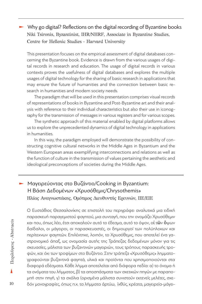## ‣ Why go digital? Reflections on the digital recording of Byzantine books Niki Tsironis, Byzantinist, IHR/NHRF, Associate in Byzantine Studies, Centre for Hellenic Studies - Harvard University

This presentation focuses on the empirical assessment of digital databases concerning the Byzantine book. Evidence is drawn from the various usages of digital records in research and education. The usage of digital records in various contexts proves the usefulness of digital databases and explores the multiple usages of digital technology for the sharing of basic research in applications that may ensure the future of humanities and the connection between basic research in humanities and modern society needs.

The paradigm that will be used in this presentation comprises visual records of representations of books in Byzantine and Post-Byzantine art and their analysis with reference to their individual characteristics but also their use in iconography for the transmission of messages in various registers and for various scopes.

The synthetic approach of this material enabled by digital platforms allows us to explore the unprecedented dynamics of digital technology in applications in humanities.

In this way, the paradigm employed will demonstrate the possibility of constructing cognitive cultural networks in the Middle Ages in Byzantium and the Western European areas exemplifying interconnections and relations as well as the function of culture in the transmission of values pertaining the aesthetic and ideological preconceptions of societies during the Middle Ages.

## $\blacktriangleright$  Μαγειρεύοντας στο Βυζάντιο/Cooking in Byzantium: Η Βάση Δεδομένων «Χρυσόθεμις/Chrysothemis» Ηλίας Αναγνωστάκης, Ομότιμος Διευθυντής Ερευνών, ΙΙΕ/ΕΙΕ

Ο Ευστάθιος Θεσσαλονίκης σε επιστολή του περιγράφει αναλυτικά μια ειδική παρασκευή παραγεμιστού φαγητού, μια συνταγή, που την ονομάζει Χρυσόθεμιν και που, όπως λέει, έτσι αποκαλούν αυτό το έδεσμα, αυτό το όψον, οί τῶν ὄψων δαίδαλοι, οι μάγειροι, οι παρασκευαστές, οι δημιουργοί των πολύπλοκων και περίτεχνων φαγητών. Επιλέχτηκε, λοιπόν, το Χρυσόθεμις, που αποτελεί ένα γαστρονομικό άπαξ, ως ονομασία αυτής της Τράπεζας δεδομένων μόνον για τις σκευασίες, μάλιστα των βυζαντινών μαγειριών, τους τρόπους παρασκευής τροφών, και όχι των τροφίμων στο Βυζάντιο. Στην τράπεζα «Χρυσόθεμις» λημματογραφούνται βυζαντινά φαγητά, υλικά και προϊόντα που χρησιμοποιούνται στα διαφορά εδέσματα. Κάθε λήμμα αποτελείται από διάφορα πεδία: α) το όνομα ή τα ονόματα του λήμματος, β) τα αποσπάσματα των σχετικών πηγών με παραπομπή στην πηγή, γ) τα σχόλια (ορισμένα μάλιστα συνιστούν εκτενείς μελέτες, σχεδόν μονογραφίες, όπως π.χ. τα λήμματα άρτύω, ίχθύς, κρέατα, μαγειρεία-μάγει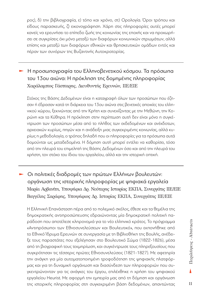ρος), δ) την βιβλιογραφία, ε) τόπο και χρόνο, στ) Ορολογία. Όροι τρόπου και είδους παρασκευής, ζ) εικονογράφηση. Χάρη στις πληροφορίες αυτές μπορεί κανείς να ερευνήσει το επίπεδο ζωής της κοινωνίας της εποχής και να προχωρήσει σε συγκρίσεις όχι μόνο μεταξύ των διαφόρων κοινωνικών στρωμάτων, αλλά επίσης και μεταξύ των διαφόρων εθνικών και θρησκευτικών ομάδων εντός και πέραν των συνόρων της Βυζαντινής Αυτοκρατορίας.

## ‣ Η προσωπογραφία του Ελληνοβενετικού κόσμου. Τα πρόσωπα του 13ου αιώνα: Η πρόκληση της δομημένης πληροφορίας Χαράλαμπος Γάσπαρης, Διευθυντής Ερευνών, ΙΙΕ/ΕΙΕ

Στόχος της Βάσης Δεδομένων είναι η καταγραφή όλων των προσώπων που έζησαν ή έδρασαν κατά τη διάρκεια του 13ου αιώνα στις βενετικές αποικίες του ελληνικού χώρου, ξεκινώντας από την Κρήτη και συνεχίζοντας με την Μεθώνη, την Κορώνη και τα Κύθηρα. Η πρόκληση στην περίπτωση αυτή δεν είναι μόνο η συγκέντρωση των προσώπων μέσα από το πλήθος των εκδεδομένων και ανέκδοτων, αρχειακών κυρίως, πηγών και η ανάδειξη μιας συγκεκριμένης κοινωνίας, αλλά κυρίως η μεθοδολογία, ο τρόπος δηλαδή που οι πληροφορίες για τα πρόσωπα αυτά δομούνται ως μεταδεδομένα. Η δόμηση αυτή μπορεί εντέλει να καθορίσει, τόσο από την πλευρά του επιμελητή της Βάσης Δεδομένων όσο και από την πλευρά του χρήστη, τον στόχο του ίδιου του εργαλείου, αλλά και την ιστορική οπτική.

‣ Οι πολιτικές διαδρομές των πρώτων Ελλήνων βουλευτών: οργάνωση της ιστορικής πληροφορίας με ψηφιακά εργαλεία Μαρία Αρβανίτη, Υποψήφια Δρ. Νεότερης Ιστορίας ΕΚΠΑ, Συνεργάτις ΙΙΕ/ΕΙΕ Βαγγέλης Σαράφης, Υποψήφιος Δρ. Ιστορίας ΕΚΠΑ, Συνεργάτης ΙΙΕ/ΕΙΕ

Η Ελληνική Επανάσταση πέρα από το πολεμικό σκέλος, έθεσε και τα θεμέλια της δημοκρατικής αντιπροσώπευσης εδραιώνοντας μία δημοκρατική πολιτική παράδοση που αποτέλεσε κληρονομιά για το νέο ελληνικό κράτος. Το πρόγραμμα «Αντιπρόσωποι των Εθνοσυνελεύσεων και Βουλευτικό», που εκπονήθηκε από το Εθνικό Ίδρυμα Ερευνών σε συνεργασία με τη Βιβλιοθήκη της Βουλής, ανέδειξε τους παραστάτες που εξελέγησαν στο Βουλευτικό Σώμα (1822-1826), μέσα από τη βιογραφική τους τεκμηρίωση, και συγκέντρωσε τους πληρεξουσίους που συγκρότησαν τις τέσσερις πρώτες Εθνοσυνελεύσεις (1821-1827). Με αφετηρία την ανάγκη για μία αυτοματοποιημένη τροφοδότηση της ψηφιακής πλατφόρμας και για τη δυναμική οργάνωση και διασύνδεση των πληροφοριών που συγκεντρώνονταν για τις ανάγκες του έργου, επιλέχθηκε η χρήση του ψηφιακού εργαλείου Heurist. Με αφορμή την εμπειρία μας από τη δόμηση και οργάνωση της ιστορικής πληροφορίας στη συγκεκριμένη βάση δεδομένων, απαντώντας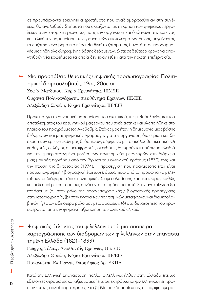σε προϋπάρχοντα ερευνητικά ερωτήματα που αναδιαμορφώθηκαν στη συνέχεια, θα αναλυθούν ζητήματα που σχετίζονται με τη χρήση των ψηφιακών εργαλείων στην ιστορική έρευνα ως προς την οργάνωση και διεξαγωγή της έρευνας και τελικά την παρουσίαση των ερευνητικών αποτελεσμάτων. Επίσης, πηγαίνοντας τη συζήτηση ένα βήμα πιο πέρα, θα θιγεί το ζήτημα της δυνατότητας προσαρμογής μίας ήδη ολοκληρωμένης βάσης δεδομένων, ώστε σε δεύτερο χρόνο να απαντηθούν νέα ερωτήματα τα οποία δεν είχαν τεθεί κατά την πρώτη επεξεργασία.

## ‣ Μια προσπάθεια θεματικής ψηφιακής προσωπογραφίας. Πολιτισμικοί διαμεσολαβητές, 19ος-20ός αι. Σοφία Ματθαίου, Κύρια Ερευνήτρια, ΙΙΕ/ΕΙΕ Ουρανία Πολυκανδριώτη, Διευθύντρια Ερευνών, ΙΙΕ/ΕΙΕ Αλεξάνδρα Σφοίνη, Κύρια Ερευνήτρια, ΙΙΕ/ΕΙΕ

Πρόκειται για τη συνοπτική παρουσίαση του σκεπτικού, της μεθοδολογίας και του αποτελέσματος του ερευνητικού μας έργου που σχεδιάστηκε και υλοποιήθηκε στο πλαίσιο του προγράμματος Αναβαθμίς. Στόχος μας ήταν η δημιουργία μιας βάσης δεδομένων και μιας ψηφιακής εφαρμογής για την οργάνωση, διαχείριση και διάχυση των ερευνητικών μας δεδομένων, σύμφωνα με το ακόλουθο σκεπτικό: Οι καθηγητές, οι λόγιοι, οι μεταφραστές, οι εκδότες, θεωρούνται πρόσωπα κλειδιά για την εμπεριστατωμένη μελέτη των πολιτισμικών μεταφορών στη διάρκεια μιας μακράς περιόδου από την ίδρυση του ελληνικού κράτους (1830) έως και την πτώση της δικτατορίας (1974). Η προσέγγιση που πραγματοποιείται είναι προσωπογραφική / βιογραφική έτσι ώστε, όμως, πίσω από τα πρόσωπα να μελετηθούν οι διάφοροι τύποι πολιτισμικής διαμεσολάβησης και μεταφοράς καθώς και οι θεσμοί με τους οποίους συνδέονται τα πρόσωπα αυτά. Στην ανακοίνωση θα εστιάσουμε (α) στον ρόλο της προσωπογραφικής / βιογραφικής προσέγγισης στην ιστοριογραφία, (β) στην έννοια των πολιτισμικών μεταφορών και διαμεσολαβητών, (γ) στον ειδικότερο ρόλο των μεταφράσεων, (δ) στις δυνατότητες που προσφέρονται από την ψηφιακή αξιοποίηση του σχετικού υλικού.

‣ Ψηφιακός άτλαντας του φιλελληνισμού: μια απόπειρα χαρτογράφησης των διαδρομών των φιλελλήνων στην επαναστατημένη Ελλάδα (1821-1833) Γιώργος Τόλιας, Διευθυντής Ερευνών, ΙΙΕ/ΕΙΕ Αλεξάνδρα Σφοίνη, Κύρια Ερευνήτρια, ΙΙΕ/ΕΙΕ Παναγιώτης Ελ Γκεντί, Υποψήφιος Δρ. ΕΚΠΑ

Κατά την Ελληνική Επανάσταση, πολλοί φιλέλληνες ήλθαν στην Ελλάδα είτε ως εθελοντές στρατιώτες και αξιωματικοί είτε ως εκπρόσωποι φιλελληνικών επιτροπών είτε ως απλοί παρατηρητές. Στα βιβλία που δημοσίευσαν, σε μορφή ημερο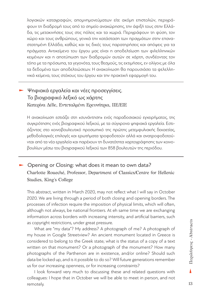λογιακών καταγραφών, απομνημονεύματων είτε ακόμη επιστολών, περιγράφουν τη διαδρομή τους από το σημείο αναχώρησης, την άφιξή τους στην Ελλάδα, τις μετακινήσεις τους στις πόλεις και τα χωριά. Περιγράφουν τη φύση, τον χώρο και τους ανθρώπους, γενικά την κατάσταση των πραγμάτων στην επαναστατημένη Ελλάδα, καθώς και τις δικές τους παρατηρήσεις και απόψεις για τα πράγματα. Αντικείμενο του έργου μας είναι η αποδελτίωση των φιλελληνικών κειμένων και η αποτύπωση των διαδρομών αυτών σε χάρτη, συνδέοντας τον τόπο με τα πρόσωπα, τα γεγονότα, τους θεσμούς, τις εκτιμήσεις, εν ολίγοις με όλα τα δεδομένα των αποδελτιώσεων. Η ανακοίνωση θα παρουσιάσει τα φελελληνικά κείμενα, τους στόχους του έργου και την πρακτική εφαρμογή του.

### ‣ Ψηφιακά εργαλεία και νέες προσεγγίσεις. Το βιογραφικό λεξικό ως χάρτης Κατερίνα Δέδε, Εντεταλμένη Ερευνήτρια, ΙΙΕ/ΕΙΕ

Η ανακοίνωση εστιάζει στη «συνάντηση» ενός παραδοσιακού εγχειρήματος, της συγκρότησης ενός βιογραφικού λεξικού, με τα σύγχρονα ψηφιακά εργαλεία. Εστιάζοντας στο κοινοβουλευτικό προσωπικό της πρώτης μετεμφυλιακής δεκαετίας, μεθοδολογικές επιλογές και ερωτήματα τροφοδοτούν αλλά και ανατροφοδοτούνται από τα νέα εργαλεία και παρέχουν τη δυνατότητα χαρτογράφησης των κοινοβουλίων μέσω του βιογραφικού λεξικού των 858 βουλευτών της περιόδου.

#### ► Opening or Closing: what does it mean to own data? Charlotte Roueché, Professor, Department of Classics/Centre for Hellenic Studies, King's College

This abstract, written in March 2020, may not reflect what I will say in October 2020. We are living through a period of both closing and opening borders. The processes of infection require the imposition of physical limits, which will often, although not always, be national frontiers. At eh same time we are exchanging information across borders with increasing intensity, and artificial barriers, such as copyright restrictions, under great pressure.

What are "my data"? My address? A photograph of me? A photograph of my house in Google Streetview? An ancient monument located in Greece is considered to belong to the Greek state; what is the status of a copy of a text written on that monument? Or a photograph of the monument? How many photographs of the Parthenon are in existence, and/or online? Should such data be locked up, and is it possible to do so? Will future generations remember us for our increasing openness, or for increasing constraints?

I look forward very much to discussing these and related questions with colleagues: I hope that in October we will be able to meet in person, and not remotely.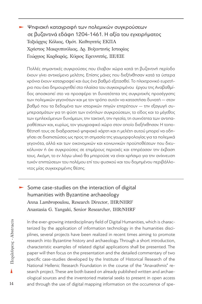‣ Ψηφιακή καταγραφή των πολεμικών συγκρούσεων σε βυζαντινά εδάφη 1204-1461. Η αξία του εγχειρήματος Ταξιάρχης Κόλιας, Ομότ. Καθηγητής ΕΚΠΑ Χρήστος Μακρυπούλιας, Δρ. Βυζαντινής Ιστορίας Γεώργιος Καρδαράς, Κύριος Ερευνητής, ΙΙΕ/ΕΙΕ

Πολλές σημαντικές συγκρούσεις που έλαβαν χώρα κατά τη βυζαντινή περίοδο έχουν γίνει αντικείμενο μελέτης. Επίσης μάχες που διεξήχθησαν κατά τα ύστερα χρόνια έχουν καταγραφεί και έως ένα βαθμό εξετασθεί. Το ηλεκτρονικό ευρετήριο που έχει δημιουργηθεί στο πλαίσιο του συγκεκριμένου έργου της Αναβαθμίδος αποσκοπεί στο να προσφέρει τη δυνατότητα της συγκριτικής προσέγγισης των πολεμικών γεγονότων και με τον τρόπο αυτόν να καταστήσει δυνατή ― στον βαθμό που τα δεδομένα των ιστορικών πηγών επιτρέπουν ― την εξαγωγή συμπερασμάτων για τη φύση των ενόπλων συγκρούσεων, το είδος και το μέγεθος των εμπλεκόμενων δυνάμεων, την τακτική, την ηγεσία, τη συχνότητα των αντιπαραθέσεων και, κυρίως, τον γεωγραφικό χώρο στον οποίο διεξήχθησαν. Η τοποθέτησή τους σε διαδραστικό ψηφιακό χάρτη και η μελέτη αυτού μπορεί να οδηγήσει σε διαπιστώσεις ως προς τη σημασία της γεωμορφολογίας για τα πολεμικά γεγονότα, αλλά και των οικονομικών και κοινωνικών προϋποθέσεων που διευκόλυναν ή όχι συγκρούσεις σε επιμέρους περιοχές και επηρέασαν την έκβαση τους. Ακόμη, το εν λόγω υλικό θα μπορούσε να είναι χρήσιμο για την ανίχνευση τυχόν επιπτώσεων του πολέμου επί του φυσικού και του δομημένου περιβάλλοντος μίας συγκεκριμένης θέσης.

 $\blacktriangleright$  Some case-studies on the interaction of digital humanities with Byzantine archaeology Anna Lambropoulou, Research Director, IHR/NHRF Anastasia G. Yangaki, Senior Researcher, IHR/NHRF

In the ever-growing interdisciplinary field of Digital Humanities, which is characterized by the application of information technology in the humanities disciplines, several projects have been realized in recent times aiming to promote research into Byzantine history and archaeology. Through a short introduction, characteristic examples of related digital applications shall be presented. The paper will then focus on the presentation and the detailed commentary of two specific case-studies developed by the Institute of Historical Research of the National Hellenic Research Foundation in the course of the "Anavathmis" research project. These are both based on already published written and archaeological sources and the inventoried material seeks to present in open access and through the use of digital mapping information on the occurrence of spe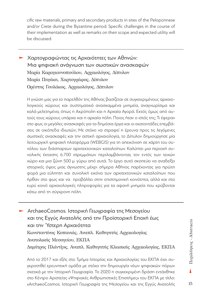cific raw materials, primary and secondary products in sites of the Peloponnese and/or Crete during the Byzantine period. Specific challenges in the course of their implementation as well as remarks on their scope and expected utility will be discussed.

‣ Χαρτογραφώντας τις Αρχαιότητες των Αθηνών: Μια ψηφιακή ανάγνωση των σωστικών ανασκαφών Μαρία Καραγιαννοπούλου, Aρχαιολόγος, Δίπυλον Μαρία Πηγάκη, Χαρτογράφος, Δίπυλον Ορέστης Γουλάκος, Αρχαιολόγος, Δίπυλον

Η γνώση μας για το παρελθόν της Αθήνας βασίζεται σε συγκεκριμένους αρχαιολογικούς χώρους και συστηματικά ανασκαμμένα μνημεία, αναγνωρίσιμα και καλά μελετημένα, όπως η Ακρόπολη και η Αρχαία Αγορά. Εκτός όμως από αυτούς τους χώρους υπάρχει και η αρχαία πόλη. Ποιος ήταν ο ιστός της; Τι έφεραν στο φως οι μεγάλες ανασκαφές για τα δημόσια έργα και οι εκατοντάδες επεμβάσεις σε οικόπεδα ιδιωτών; Με στόχο να στραφεί η έρευνα προς τις λεγόμενες σωστικές ανασκαφές και την αστική αρχαιολογία, το Δίπυλον δημιούργησε μία λειτουργική ψηφιακή πλατφόρμα (WEBGIS) για τη απεικόνιση σε χάρτη του συνόλου των διάσπαρτων αρχιτεκτονικών καταλοίπων. Καλύπτει μια περιοχή συνολικής έκτασης 6.700 στρεμμάτων περιλαμβάνοντας τον εντός των τειχών χώρο και μια ζώνη 500 μ. γύρω από αυτά. Το έργο αυτό σκοπεύει να αναδείξει ιστορικές όψεις μιας άγνωστης μέχρι σήμερα Αθήνας παρέχοντας για πρώτη φορά μια εύληπτη και συνολική εικόνα των αρχιτεκτονικών καταλοίπων που ήρθαν στο φως και να προβάλλει στην επιστημονική κοινότητα, αλλά και στο ευρύ κοινό αρχαιολογικές πληροφορίες για τα αφανή μνημεία που κρύβονται κάτω από τη σύγχρονη πόλη.

‣ ArchaeoCosmos. Ιστορική Γεωγραφία της Μεσογείου και της Εγγύς Ανατολής από την Προϊστορική Εποχή έως και την Ύστερη Αρχαιότητα Κωνσταντίνος Κοπανιάς, Αναπλ. Καθηγητής Αρχαιολογίας Ανατολικής Μεσογείου, ΕΚΠΑ Δημήτρης Πλάντζος, Αναπλ. Καθηγητής Κλασικής Αρχαιολογίας, ΕΚΠΑ

Από το 2017 και εξής στο Τμήμα Ιστορίας και Αρχαιολογίας του ΕΚΠΑ έχει συγκροτηθεί ερευνητική ομάδα με στόχο την δημιουργία νέων ψηφιακών πόρων σχετικά με την Ιστορική Γεωγραφία. Το 2020 η συγκεκριμένη δράση εντάχθηκε στο Κέντρο Αριστείας «Ψηφιακές Ανθρωπιστικές Επιστήμες» του ΕΚΠΑ με τίτλο: «ArchaeoCosmos. Ιστορική Γεωγραφία της Μεσογείου και της Εγγύς Ανατολής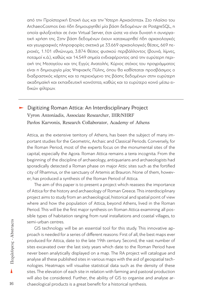από την Προϊστορική Εποχή έως και την Ύστερη Αρχαιότητα». Στο πλαίσιο του ArchaeoCosmos έχει ήδη δημιουργηθεί μία βάση δεδομένων σε PostgreSQL, η οποία φιλοξενείται σε έναν Virtual Server, έτσι ώστε να είναι δυνατή η συνεργατική χρήση της. Στην βάση δεδομένων έχουν καταχωρηθεί ήδη αρχαιολογικές και γεωγραφικές πληροφορίες σχετικά με 33.669 αρχαιολογικές θέσεις, 669 περιοχές, 1.101 εθνώνυμα, 3.874 θέσεις φυσικού περιβάλλοντος (βουνά, λίμνες, ποταμοί κ.ά.), καθώς και 14.549 σημεία ενδιαφέροντος από την ευρύτερη περιοχή της Μεσογείου και της Εγγύς Ανατολής. Κύριος στόχος του προγράμματος είναι η δημιουργία μίας Ψηφιακής Πύλης, όπου θα καθίσταται προσβάσιμος ο διαδραστικός χάρτης και το περιεχόμενο της βάσης δεδομένων στην ευρύτερη ακαδημαϊκή και εκπαιδευτική κοινότητα, καθώς και το ευρύτερο κοινό μέσω ειδικών φίλτρων.

#### **EXECT** Digitizing Roman Attica: An Interdisciplinary Project Vyron Antoniadis, Associate Researcher, IHR/NHRF Pavlos Karvonis, Research Collaborator, Academy of Athens

Attica, as the extensive territory of Athens, has been the subject of many important studies for the Geometric, Archaic and Classical Periods. Conversely, for the Roman Period, most of the experts focus on the monumental sites of the capital, especially the Agora. Roman Attica remains a terra incognita. From the beginning of the discipline of archaeology, antiquarians and archaeologists had sporadically detected a Roman phase on major Attic sites such as the fortified city of Rhamnus, or the sanctuary of Artemis at Brauron. None of them, however, has produced a synthesis of the Roman Period of Attica.

The aim of this paper is to present a project which reassess the importance of Attica for the history and archaeology of Roman Greece. This interdisciplinary project aims to study from an archaeological, historical and spatial point of view where and how the population of Attica, beyond Athens, lived in the Roman Period. This will be the first major synthesis on Roman Attica examining all possible types of habitation ranging from rural installations and coastal villages, to semi-urban centres.

GIS technology will be an essential tool for this study. This innovative approach is needed for a series of different reasons: First of all, the best maps ever produced for Attica, date to the late 19th century. Second, the vast number of sites excavated over the last sixty years which date to the Roman Period have never been analytically displayed on a map. The RA project will catalogue and analyse all these published sites in various maps with the aid of geospatial technologies. Heatmaps will visualise statistical data such as the density of these sites. The elevation of each site in relation with farming and pastoral production will also be considered. Further, the ability of GIS to organise and analyse archaeological products is a great benefit for a historical synthesis.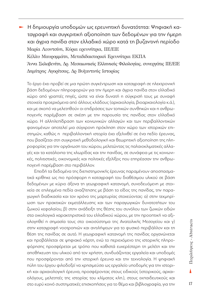‣ Η δημιουργία υποδομών ως ερευνητική δυνατότητα: Ψηφιακή καταγραφή και συγκριτική αξιοποίηση των δεδομένων για την ήμερη και άγρια πανίδα στον ελλαδικό χώρο κατά τη βυζαντινή περίοδο Μαρία Λεοντσίνη, Κύρια ερευνήτρια, ΙIΕ/ΕΙΕ Κέλλυ Μαυρομμάτη, Μεταδιδακτορική Ερευνήτρια ΕΚΠΑ Άννα Σκλαβενίτη, Δρ. Μεσαιωνικής Ελληνικής Φιλολογίας, συνεργάτις ΙIΕ/ΕΙΕ Δημήτρης Αγορίτσας, Δρ Βυζαντινής Ιστορίας

To έργο έχει προβεί σε μια πρώτη συγκέντρωση και καταγραφή σε ηλεκτρονική βάση δεδομένων πληροφοριών για την ήμερη και άγρια πανίδα στον ελλαδικό χώρο από γραπτές πηγές, ώστε να είναι δυνατή η σύγκρισή τους με συναφή στοιχεία προερχόμενα από άλλους κλάδους (αρχαιολογία, βιοαρχαιολογία κ.ά.), και με σκοπό να μελετηθούν οι επιδράσεις των τοπικών συνθηκών και η ανθρωπογενής παρέμβαση σε σχέση με την παρουσία της πανίδας στον ελλαδικό χώρο. Η αλληλεπίδραση των κοινωνικών αλλαγών και των περιβαλλοντικών φαινομένων αποτελεί μια σύγχρονη πρόκληση στον χώρο των ιστορικών επιστημών, καθώς η περιβαλλοντική ιστορία έχει εξελιχθεί σε ένα πεδίο έρευνας, που βασίζεται στη συγκριτική μεθοδολογική και θεωρητική αξιοποίηση της πληροφορίας για την οργάνωση του χώρου, μελετώντας τις παλαιοκλιµατικές αλλαγές και τα κατάλοιπα της χλωρίδας και την πανίδας, σε συνάφεια με τις κοινωνικές, πολιτιστικές, οικονομικές και πολιτικές εξελίξεις που επηρέασαν την ανθρωπογενή παρέμβαση στο περιβάλλον.

Επειδή τα δεδομένα της διεπιστημονικής έρευνας παραμένουν αποσπασματικά κρίθηκε ως πιο πρόσφορη η καταγραφή του διαθέσιμου υλικού σε βάση δεδομένων με κύριο άξονα τη γεωγραφική κατανομή, συνοδευόμενη με στοιχεία σε επιλεγμένα πεδία αναζήτησης με βάση το είδος της πανίδας, την παραγωγική διαδικασία και τον χρόνο της μαρτυρίας στοχεύοντας: α) στην τεκμηρίωση των πρακτικών εκμετάλλευσης και των παραγωγικών δυνατοτήτων του ζωικού κεφαλαίου, β) στην ανάδειξη της θέσης του συνόλου των ζωικών ειδών στα οικολογικά χαρακτηριστικά του ελλαδικού χώρου, με την προοπτική να αξιολογηθεί η σημασία τους στο οικοσύστημα της Ανατολικής Μεσογείου και γ) στην καταγραφή νοοτροπιών και αντιλήψεων για το φυσικό περιβάλλον και τη θέση της πανίδας σε αυτό. Η γεωγραφική κατανομή της πανίδας οργανώνεται και προβάλλεται σε ψηφιακό χάρτη, ενώ το περιεχόμενο της ιστορικής πληροφόρησης προσφέρεται με τρόπο που καθιστά ευχερέστερη τη μελέτη και την αποθήκευση του υλικού από τον χρήστη, συνδυάζοντας εργαλεία και υποδομές που προσφέρονται από την ιστορική έρευνα και την τεχνολογία. Η ψηφιακή πύλη του έργου φιλοδοξεί να χρησιμεύσει ως εργαλείο υποδομής για την ιστορική και αρχαιολογική έρευνα, προσφέροντας στους ειδικούς (ιστορικούς, αρχαιολόγους, μελετητές της ιστορίας του κλίματος κλπ.), στους εκπαιδευτικούς και στο ευρύ κοινό συστηματικές επισκοπήσεις για το θέμα και βιβλιογραφία, για την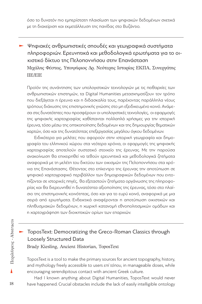όσο το δυνατόν πιο εμπερίστατη πλαισίωση των ψηφιακών δεδομένων σχετικά με τη διαχείριση και εκμετάλλευση της πανίδας στο Βυζάντιο.

‣ Ψηφιακές ανθρωπιστικές σπουδές και γεωγραφικά συστήματα πληροφοριών. Ερευνητικά και μεθοδολογικά ερωτήματα για το οικιστικό δίκτυο της Πελοποννήσου στην Επανάσταση Μιχάλης Φέστας, Υποψήφιος Δρ. Νεότερης Ιστορίας ΕΚΠΑ, Συνεργάτης ΙΙΕ/ΕΙΕ

Προϊόν της συνάντησης των υπολογιστικών τεχνολογιών με τις πειθαρχίες των ανθρωπιστικών επιστημών, τα Digital Humanities μετασχηματίζουν τον τρόπο που διεξάγεται η έρευνα και η διδασκαλία τους, παρέχοντας παράλληλα νέους τρόπους διάχυσης της επιστημονικής γνώσης στο μη εξειδικευμένο κοινό. Ανάμεσα στις δυνατότητες που προσφέρουν οι υπολογιστικές τεχνολογίες, οι εφαρμογές της ψηφιακής χαρτογραφίας καθίστανται πολλαπλά χρήσιμες για την ιστορική έρευνα, τόσο μέσω της οπτικοποίησης δεδομένων και της δημιουργίας θεματικών χαρτών, όσο και της δυνατότητας επεξεργασίας μεγάλου όγκου δεδομένων.

Ειδικότερα για μελέτες που αφορούν στην ιστορική γεωγραφία και δημογραφία του ελληνικού χώρου στα νεότερα χρόνια, οι εφαρμογές της ψηφιακής χαρτογραφίας αποτελούν συστατικό στοιχείο της έρευνας. Με την παρούσα ανακοίνωση θα επιχειρηθεί να τεθούν ερευνητικά και μεθοδολογικά ζητήματα αναφορικά με τη μελέτη του δικτύου των οικισμών της Πελοποννήσου στα χρόνια της Επανάστασης. Θέτοντας στο επίκεντρο της έρευνας την αποτύπωση σε ψηφιακό χαρτογραφικό περιβάλλον των δημογραφικών δεδομένων που εντοπίζονται σε ιστορικές πηγές, θα εξεταστούν ζητήματα οργάνωσης της πληροφορίας και θα διερευνηθεί η δυνατότητα αξιοποίησης της έρευνας, τόσο στο πλαίσιο της επιστημονικής κοινότητας, όσο και για το ευρύ κοινό, αναφορικά με μια σειρά από ερωτήματα. Ενδεικτικά αναφέρονται η αποτύπωση οικιστικών και πληθυσμιακών δεδομένων, η χωρική κατανομή εθνοπολιτισμικών ομάδων και η χαρτογράφηση των διοικητικών ορίων των επαρχιών.

#### ‣ ToposText: Democratizing the Greco-Roman Classics through Loosely Structured Data Brady Kiesling, Ancient Historian, ToposText

ToposText is a tool to make the primary sources for ancient topography, history, and mythology freely accessible to users *επί τόπου*, in manageable doses, while encouraging serendipitous contact with ancient Greek culture.

Had I known anything about Digital Humanities, ToposText would never have happened. Crucial obstacles include the lack of easily intelligible ontology

18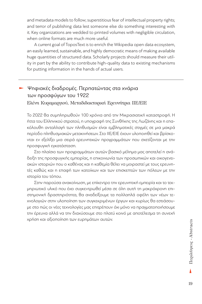and metadata models to follow; superstitious fear of intellectual property rights; and terror of publishing data lest someone else do something interesting with it. Key organizations are wedded to printed volumes with negligible circulation, when online formats are much more useful.

A current goal of ToposText is to enrich the Wikipedia open data ecosystem, an easily learned, sustainable, and highly democratic means of making available huge quantities of structured data. Scholarly projects should measure their utility in part by the ability to contribute high-quality data to existing mechanisms for putting information in the hands of actual users.

#### ‣ Ψηφιακές διαδρομές. Περπατώντας στα χνάρια των προσφύγων του 1922 Ελένη Κυραμαργιού, Μεταδιδακτορική Ερευνήτρια ΙΙΕ/ΕΙΕ

Το 2022 θα συμπληρωθούν 100 χρόνια από την Μικρασιατική καταστροφή. Η ήττα του Ελληνικού στρατού, η υπογραφή της Συνθήκης της Λωζάνης και η επακόλουθη ανταλλαγή των πληθυσμών είναι εμβληματικές στιγμές σε μια μακρά περίοδο πληθυσμιακών μετακινήσεων. Στο ΙΙΕ/ΕΙΕ έχουν υλοποιηθεί και βρίσκονται εν εξελίξει μια σειρά ερευνητικών προγραμμάτων που σχετίζονται με την προσφυγική εγκατάσταση.

Στο πλαίσιο των προγραμμάτων αυτών βασικό μέλημα μας αποτελεί η ανάδειξη της προσφυγικής εμπειρίας, η επικοινωνία των προσωπικών και οικογενειακών ιστοριών που ο καθένας και η καθεμία θέλει να μοιραστεί με τους ερευνητές καθώς και η επαφή των κατοίκων και των επισκεπτών των πόλεων με την ιστορία του τόπου.

Στην παρούσα ανακοίνωση, με επίκεντρο την ερευνητική εμπειρία και το τεκμηριωτικό υλικό που έχει συγκεντρωθεί μέσα σε όλη αυτή τη μακρόχρονη επιστημονική δραστηριότητα, θα αναδείξουμε τα πολλαπλά οφέλη των νέων τεχνολογιών στην υλοποίηση των συγκεκριμένων έργων και κυρίως θα εστιάσουμε στο πώς οι νέες τεχνολογίες μας επιτρέπουν όχι μόνο να πραγματοποιήσουμε την έρευνα αλλά να την διαχύσουμε στο πλατύ κοινό με αποτέλεσμα τη συνεχή χρήση και αξιοποίηση των ευρημάτων αυτών.